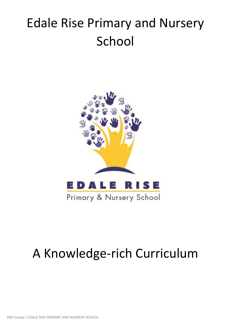# Edale Rise Primary and Nursery School



# A Knowledge-rich Curriculum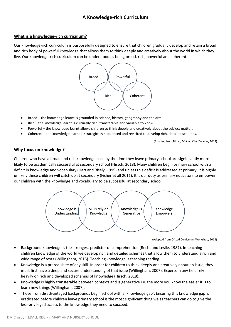# **A Knowledge-rich Curriculum**

#### **What is a knowledge-rich curriculum?**

Our knowledge-rich curriculum is purposefully designed to ensure that children gradually develop and retain a broad and rich body of powerful knowledge that allows them to think deeply and creatively about the world in which they live. Our knowledge-rich curriculum can be understood as being broad, rich, powerful and coherent.



- Broad the knowledge learnt is grounded in science, history, geography and the arts.
- Rich the knowledge learnt is culturally rich, transferable and valuable to know.
- Powerful the knowledge learnt allows children to think deeply and creatively about the subject matter.
- Coherent the knowledge learnt is strategically sequenced and revisited to develop rich, detailed schemas.

(Adapted from Didau, *Making Kids Cleverer,* 2018)

# **Why focus on knowledge?**

Children who have a broad and rich knowledge base by the time they leave primary school are significantly more likely to be academically successful at secondary school (Hirsch, 2018). Many children begin primary school with a deficit in knowledge and vocabulary (Hart and Risely, 1995) and unless this deficit is addressed at primary, it is highly unlikely these children will catch up at secondary (Fisher et all 2011). It is our duty as primary educators to empower our children with the knowledge and vocabulary to be successful at secondary school.



<sup>(</sup>Adapted from Ofsted Curriculum Workshop, 2018)

- Background knowledge is the strongest predictor of comprehension (Recht and Leslie, 1987). In teaching children knowledge of the world we develop rich and detailed schemas that allow them to understand a rich and wide range of texts (Willingham, 2015). Teaching knowledge is teaching reading.
- Knowledge is a prerequisite of any skill. In order for children to think deeply and creatively about an issue, they must first have a deep and secure understanding of that issue (Willingham, 2007). Experts in any field rely heavily on rich and developed schemas of knowledge (Hirsch, 2018).
- Knowledge is highly transferable between contexts and is generative i.e. the more you know the easier it is to learn new things (Willingham. 2007).
- Those from disadvantaged backgrounds begin school with a 'knowledge gap'. Ensuring this knowledge gap is eradicated before children leave primary school is the most significant thing we as teachers can do to give the less-privileged access to the knowledge they need to succeed.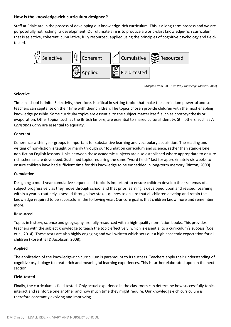# **How is the knowledge-rich curriculum designed?**

Staff at Edale are in the process of developing our knowledge-rich curriculum. This is a long-term process and we are purposefully not rushing its development. Our ultimate aim is to produce a world-class knowledge-rich curriculum that is selective, coherent, cumulative, fully resourced, applied using the principles of cognitive psychology and fieldtested.



(Adapted from E.D Hisrch *Why Knowledge Matters,* 2018)

# **Selective**

Time in school is finite. Selectivity, therefore, is critical in setting topics that make the curriculum powerful and so teachers can capitalise on their time with their children. The topics chosen provide children with the most enabling knowledge possible. Some curricular topics are essential to the subject matter itself, such as photosynthesis or evaporation. Other topics, such as the British Empire, are essential to shared cultural identity. Still others, such as *A Christmas Carol* are essential to equality.

# **Coherent**

Coherence within year groups is important for substantive learning and vocabulary acquisition. The reading and writing of non-fiction is taught primarily through our foundation curriculum and science, rather than stand-alone non-fiction English lessons. Links between these academic subjects are also established where appropriate to ensure rich schemas are developed. Sustained topics requiring the same "word fields" last for approximately six weeks to ensure children have had sufficient time for this knowledge to be embedded in long-term memory (Binton, 2000).

# **Cumulative**

Designing a multi-year cumulative sequence of topics is important to ensure children develop their schemas of a subject progressively as they move through school and that prior learning is developed upon and revised. Learning within a year is routinely assessed through low-stakes quizzes to ensure that all children develop and retain the knowledge required to be successful in the following year. Our core goal is that children know more and remember more.

# **Resourced**

Topics in history, science and geography are fully resourced with a high-quality non-fiction books. This provides teachers with the subject knowledge to teach the topic effectively, which is essential to a curriculum's success (Coe et al, 2014). These texts are also highly engaging and well written which sets out a high academic expectation for all children (Rosenthal & Jacobson, 2008).

# **Applied**

The application of the knowledge-rich curriculum is paramount to its success. Teachers apply their understanding of cognitive psychology to create rich and meaningful learning experiences. This is further elaborated upon in the next section.

# **Field-tested**

Finally, the curriculum is field tested. Only actual experience in the classroom can determine how successfully topics interact and reinforce one another and how much time they might require. Our knowledge-rich curriculum is therefore constantly evolving and improving.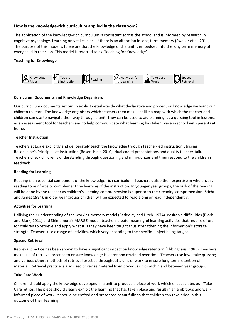# **How is the knowledge-rich curriculum applied in the classroom?**

The application of the knowledge-rich curriculum is consistent across the school and is informed by research in cognitive psychology. Learning only takes place if there is an alteration in long-term memory (Sweller et al, 2011). The purpose of this model is to ensure that the knowledge of the unit is embedded into the long term memory of every child in the class. This model is referred to as 'Teaching for Knowledge'.

#### **Teaching for Knowledge**



#### **Curriculum Documents and Knowledge Organisers**

Our curriculum documents set out in explicit detail exactly what declarative and procedural knowledge we want our children to learn. The knowledge organisers which teachers then make act like a map with which the teacher and children can use to navigate their way through a unit. They can be used to aid planning, as a quizzing tool in lessons, as an assessment tool for teachers and to help communicate what learning has taken place in school with parents at home.

#### **Teacher Instruction**

Teachers at Edale explicitly and deliberately teach the knowledge through teacher-led instruction utilising Rosenshine's Principles of Instruction (Rosenshine, 2010), dual coded presentations and quality teacher-talk. Teachers check children's understanding through questioning and mini-quizzes and then respond to the children's feedback.

#### **Reading for Learning**

Reading is an essential component of the knowledge-rich curriculum. Teachers utilise their expertise in whole-class reading to reinforce or complement the learning of the instruction. In younger year groups, the bulk of the reading will be done by the teacher as children's listening comprehension is superior to their reading comprehension (Sticht and James 1984), in older year groups children will be expected to read along or read independently.

#### **Activities for Learning**

Utilising their understanding of the working memory model (Baddeley and Hitch, 1974), desirable difficulties (Bjork and Bjork, 2011) and Shimamura's MARGE model, teachers create meaningful learning activities that require effort for children to retrieve and apply what it is they have been taught thus strengthening the information's storage strength. Teachers use a range of activities, which vary according to the specific subject being taught.

#### **Spaced Retrieval**

Retrieval practice has been shown to have a significant impact on knowledge retention (Ebbinghaus, 1985). Teachers make use of retrieval practice to ensure knowledge is learnt and retained over time. Teachers use low-stake quizzing and various others methods of retrieval practice throughout a unit of work to ensure long term retention of material. Retrieval practice is also used to revise material from previous units within and between year groups.

#### **Take Care Work**

Children should apply the knowledge developed in a unit to produce a piece of work which encapsulates our 'Take Care' ethos. The piece should clearly exhibit the learning that has taken place and result in an ambitious and wellinformed piece of work. It should be crafted and presented beautifully so that children can take pride in this outcome of their learning.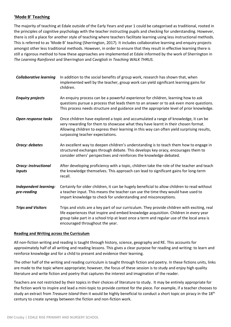# **'Mode B' Teaching**

The majority of teaching at Edale outside of the Early Years and year 1 could be categorised as traditional, rooted in the principles of cognitive psychology with the teacher instructing pupils and checking for understanding. However, there is still a place for another style of teaching where teachers facilitate learning using less instructional methods. This is referred to as 'Mode B' teaching (Sherrington, 2017). It includes collaborative learning and enquiry projects amongst other less traditional methods. However, in order to ensure that they result in effective learning there is still a rigorous method to how these approaches are implemented at Edale informed by the work of Sherrington in *The Learning Rainforest* and Sherrington and Caviglioli in *Teaching WALK THRUS.*

| <b>Collaborative learning</b>                | In addition to the social benefits of group work, research has shown that, when<br>implemented well by the teacher, group work can yield significant learning gains for<br>children.                                                                                                                                   |
|----------------------------------------------|------------------------------------------------------------------------------------------------------------------------------------------------------------------------------------------------------------------------------------------------------------------------------------------------------------------------|
| <b>Enquiry projects</b>                      | An enquiry process can be a powerful experience for children, learning how to ask<br>questions pursue a process that leads them to an answer or to ask even more questions.<br>This process needs structure and guidance and the appropriate level of prior knowledge.                                                 |
| Open response tasks                          | Once children have explored a topic and accumulated a range of knowledge, it can be<br>very rewarding for them to showcase what they have learnt in their chosen format.<br>Allowing children to express their learning in this way can often yield surprising results,<br>surpassing teacher expectations.            |
| <b>Oracy: debates</b>                        | An excellent way to deepen children's understanding is to teach them how to engage in<br>structured exchanges through debate. This develops key oracy, encourages them to<br>consider others' perspectives and reinforces the knowledge debated.                                                                       |
| <b>Oracy: instructional</b><br><i>inputs</i> | After developing proficiency with a topic, children take the role of the teacher and teach<br>the knowledge themselves. This approach can lead to significant gains for long-term<br>recall.                                                                                                                           |
| <b>Independent learning:</b><br>pre-reading  | Certainly for older children, it can be hugely beneficial to allow children to read without<br>a teacher input. This means the teacher can use the time they would have used to<br>impart knowledge to check for understanding and misconceptions.                                                                     |
| <b>Trips and Visitors</b>                    | Trips and visits are a key part of our curriculum. They provide children with exciting, real<br>life experiences that inspire and embed knowledge acquisition. Children in every year<br>group take part in a school trip at least once a term and regular use of the local area is<br>encouraged throughout the year. |

#### **Reading and Writing across the Curriculum**

All non-fiction writing and reading is taught through history, science, geography and RE. This accounts for approximately half of all writing and reading lessons. This gives a clear purpose for reading and writing: to learn and reinforce knowledge and for a child to present and evidence their learning.

The other half of the writing and reading curriculum is taught through fiction and poetry. In these fictions units, links are made to the topic where appropriate; however, the focus of these session is to study and enjoy high quality literature and write fiction and poetry that captures the interest and imagination of the reader.

Teachers are not restricted by their topics in their choices of literature to study. It may be entirely appropriate for the fiction work to inspire and lead a mini-topic to provide context for the piece. For example, if a teacher chooses to study an extract from *Treasure Island* then it would be highly beneficial to conduct a short topic on piracy in the 18th century to create synergy between the fiction and non-fiction work.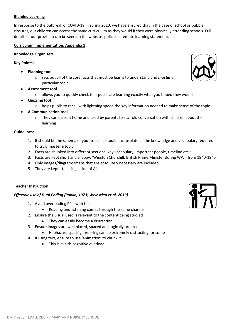#### **Blended Learning**

In response to the outbreak of COVID-19 in spring 2020, we have ensured that in the case of school or bubble closures, our children can access the same curriculum as they would if they were physically attending schools. Full details of our provision can be seen on the website: policies – remote learning statement.

#### **Curriculum Implementation: Appendix 1**

#### **Knowledge Organisers**

#### **Key Points:**

- **Planning tool**
	- o sets out all of the core facts that must be learnt to understand and *master* a particular topic
- **Assessment tool**
	- $\circ$  allows you to quickly check that pupils are learning exactly what you hoped they would
- **Quizzing tool**
	- o helps pupils to recall with lightning speed the key information needed to make sense of the topic
- **A Communication tool**
	- They can be sent home and used by parents to scaffold conversation with children about their learning

#### **Guidelines***:*

- 1. It should be the schema of your topic: it should encapsulate all the knowledge and vocabulary required to truly master a topic
- 2. Facts are chunked into different sections: key vocabulary, important people, timeline etc.:
- 3. Facts are kept short and snappy: 'Winston Churchill: British Prime Minister during WWII from 1940-1945'
- 4. Only images/diagrams/maps that are absolutely necessary are included
- 5. They are kept t to a single side of A4

#### **Teacher Instruction**

#### *Effective use of Dual Coding (Paivio, 1973; Weinstien et al. 2019)*

- 1. Avoid overloading PP's with text
	- Reading and listening comes through the same channel
- 2. Ensure the visual used is relevant to the content being studied
	- They can easily become a distraction
- 3. Ensure images are well placed, spaced and logically ordered
	- Haphazard spacing, ordering can be extremely distracting for some
- 4. If using text, ensure to use 'animation' to chunk it
	- This is avoids cognitive overload